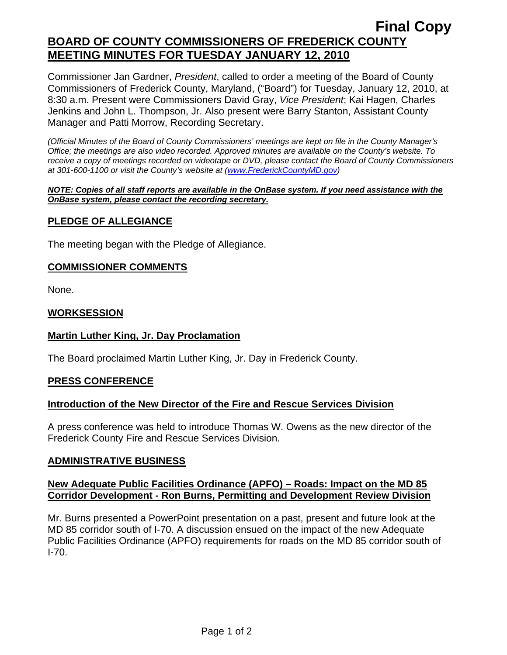# **Final Copy BOARD OF COUNTY COMMISSIONERS OF FREDERICK COUNTY MEETING MINUTES FOR TUESDAY JANUARY 12, 2010**

Commissioner Jan Gardner, *President*, called to order a meeting of the Board of County Commissioners of Frederick County, Maryland, ("Board") for Tuesday, January 12, 2010, at 8:30 a.m. Present were Commissioners David Gray, *Vice President*; Kai Hagen, Charles Jenkins and John L. Thompson, Jr. Also present were Barry Stanton, Assistant County Manager and Patti Morrow, Recording Secretary.

*(Official Minutes of the Board of County Commissioners' meetings are kept on file in the County Manager's Office; the meetings are also video recorded. Approved minutes are available on the County's website. To receive a copy of meetings recorded on videotape or DVD, please contact the Board of County Commissioners at 301-600-1100 or visit the County's website at ([www.FrederickCountyMD.gov](http://www.frederickcountymd.gov/))* 

#### *NOTE: Copies of all staff reports are available in the OnBase system. If you need assistance with the OnBase system, please contact the recording secretary.*

# **PLEDGE OF ALLEGIANCE**

The meeting began with the Pledge of Allegiance.

#### **COMMISSIONER COMMENTS**

None.

#### **WORKSESSION**

### **Martin Luther King, Jr. Day Proclamation**

The Board proclaimed Martin Luther King, Jr. Day in Frederick County.

### **PRESS CONFERENCE**

### **Introduction of the New Director of the Fire and Rescue Services Division**

A press conference was held to introduce Thomas W. Owens as the new director of the Frederick County Fire and Rescue Services Division.

### **ADMINISTRATIVE BUSINESS**

#### **New Adequate Public Facilities Ordinance (APFO) – Roads: Impact on the MD 85 Corridor Development - Ron Burns, Permitting and Development Review Division**

Mr. Burns presented a PowerPoint presentation on a past, present and future look at the MD 85 corridor south of I-70. A discussion ensued on the impact of the new Adequate Public Facilities Ordinance (APFO) requirements for roads on the MD 85 corridor south of I-70.